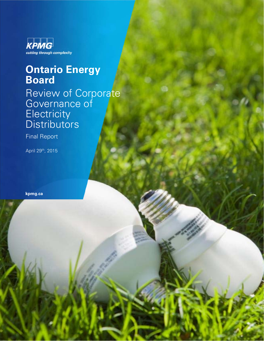

### **Ontario Energy Board**

Review of Corporate Governance of **Electricity** Distributors

Page 1

Final Report

April 29th, 2015

**kpmg.ca**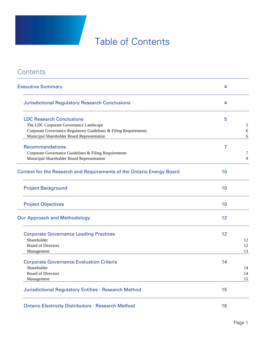# Table of Contents

### **Contents**

| <b>Executive Summary</b>                                                                                                                                                                    | 4  |                |
|---------------------------------------------------------------------------------------------------------------------------------------------------------------------------------------------|----|----------------|
| <b>Jurisdictional Regulatory Research Conclusions</b>                                                                                                                                       | 4  |                |
| <b>LDC Research Conclusions</b><br>The LDC Corporate Governance Landscape<br>Corporate Governance Regulatory Guidelines & Filing Requirements<br>Municipal Shareholder Board Representation | 5  | 5<br>6<br>6    |
| Recommendations<br>Corporate Governance Guidelines & Filing Requirements<br>Municipal Shareholder Board Representation                                                                      | 7  | 7<br>9         |
| Context for the Research and Requirements of the Ontario Energy Board                                                                                                                       | 10 |                |
| <b>Project Background</b>                                                                                                                                                                   | 10 |                |
| <b>Project Objectives</b>                                                                                                                                                                   | 10 |                |
| <b>Our Approach and Methodology</b>                                                                                                                                                         | 12 |                |
| <b>Corporate Governance Leading Practices</b><br>Shareholder<br><b>Board of Directors</b><br>Management                                                                                     | 12 | 12<br>12<br>13 |
| <b>Corporate Governance Evaluation Criteria</b><br>Shareholder<br><b>Board of Directors</b><br>Management                                                                                   | 14 | 14<br>14<br>15 |
| <b>Jurisdictional Regulatory Entities - Research Method</b>                                                                                                                                 | 15 |                |
| <b>Ontario Electricity Distributors - Research Method</b>                                                                                                                                   | 16 |                |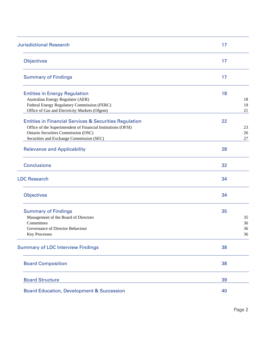| <b>Jurisdictional Research</b>                                    | 17     |
|-------------------------------------------------------------------|--------|
| <b>Objectives</b>                                                 | 17     |
| <b>Summary of Findings</b>                                        | 17     |
| <b>Entities in Energy Regulation</b>                              | 18     |
| Australian Energy Regulator (AER)                                 | 18     |
| Federal Energy Regulatory Commission (FERC)                       | 19     |
| Office of Gas and Electricity Markets (Ofgem)                     | 21     |
| <b>Entities in Financial Services &amp; Securities Regulation</b> | 22     |
| Office of the Superintendent of Financial Institutions (OFSI)     | 23     |
| Ontario Securities Commission (OSC)                               | 26     |
| Securities and Exchange Commission (SEC)                          | $27\,$ |
|                                                                   |        |
| <b>Relevance and Applicability</b>                                | 28     |
| <b>Conclusions</b>                                                | 32     |
| <b>LDC Research</b>                                               | 34     |
| <b>Objectives</b>                                                 | 34     |
| <b>Summary of Findings</b>                                        | 35     |
| Management of the Board of Directors                              | 35     |
| Committees                                                        | 36     |
| Governance of Director Behaviour                                  | 36     |
| <b>Key Processes</b>                                              | 36     |
| <b>Summary of LDC Interview Findings</b>                          | 38     |
| <b>Board Composition</b>                                          | 38     |
| <b>Board Structure</b>                                            | 39     |
| <b>Board Education, Development &amp; Succession</b>              | 40     |

Page 2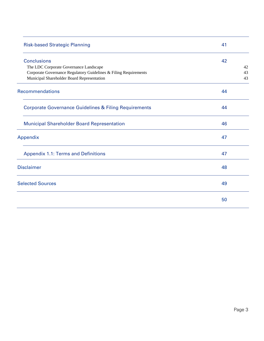| <b>Risk-based Strategic Planning</b>                             | 41 |    |
|------------------------------------------------------------------|----|----|
| <b>Conclusions</b>                                               | 42 |    |
| The LDC Corporate Governance Landscape                           |    | 42 |
| Corporate Governance Regulatory Guidelines & Filing Requirements |    | 43 |
| Municipal Shareholder Board Representation                       |    | 43 |
| <b>Recommendations</b>                                           | 44 |    |
| <b>Corporate Governance Guidelines &amp; Filing Requirements</b> | 44 |    |
| <b>Municipal Shareholder Board Representation</b>                | 46 |    |
| Appendix                                                         | 47 |    |
| <b>Appendix 1.1: Terms and Definitions</b>                       | 47 |    |
| <b>Disclaimer</b>                                                | 48 |    |
| <b>Selected Sources</b>                                          | 49 |    |
|                                                                  | 50 |    |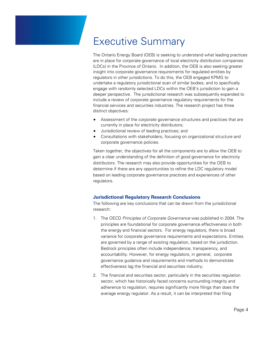### Executive Summary

The Ontario Energy Board (OEB) is seeking to understand what leading practices are in place for corporate governance of local electricity distribution companies (LDCs) in the Province of Ontario. In addition, the OEB is also seeking greater insight into corporate governance requirements for regulated entities by regulators in other jurisdictions. To do this, the OEB engaged KPMG to undertake a regulatory jurisdictional scan of similar bodies, and to specifically engage with randomly selected LDCs within the OEB's jurisdiction to gain a deeper perspective. The jurisdictional research was subsequently expanded to include a review of corporate governance regulatory requirements for the financial services and securities industries. The research project has three distinct objectives:

- Assessment of the corporate governance structures and practices that are currently in place for electricity distributors;
- Jurisdictional review of leading practices; and
- Consultations with stakeholders, focusing on organizational structure and corporate governance policies.

Taken together, the objectives for all the components are to allow the OEB to gain a clear understanding of the definition of good governance for electricity distributors. The research may also provide opportunities for the OEB to determine if there are any opportunities to refine the LDC regulatory model based on leading corporate governance practices and experiences of other regulators.

#### **Jurisdictional Regulatory Research Conclusions**

The following are key conclusions that can be drawn from the jurisdictional research:

- 1. The OECD *Principles of Corporate Governance* was published in 2004. The principles are foundational for corporate governance effectiveness in both the energy and financial sectors. For energy regulators, there is broad variance for corporate governance requirements and expectations. Entities are governed by a range of existing regulation, based on the jurisdiction. Bedrock principles often include independence, transparency, and accountability. However, for energy regulators, in general, corporate governance guidance and requirements and methods to demonstrate effectiveness lag the financial and securities industry;
- 2. The financial and securities sector, particularly in the securities regulation sector, which has historically faced concerns surrounding integrity and adherence to regulation, requires significantly more filings than does the average energy regulator. As a result, it can be interpreted that filing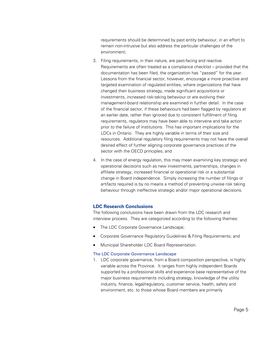requirements should be determined by past entity behaviour, in an effort to remain non-intrusive but also address the particular challenges of the environment;

- 3. Filing requirements, in their nature, are past-facing and reactive. Requirements are often treated as a compliance checklist – provided that the documentation has been filed, the organization has "passed" for the year. Lessons from the financial sector, however, encourage a more proactive and targeted examination of regulated entities, where organizations that have changed their business strategy, made significant acquisitions or investments, increased risk-taking behaviour or are evolving their management-board relationship are examined in further detail. In the case of the financial sector, if these behaviours had been flagged by regulators at an earlier date, rather than ignored due to consistent fulfillment of filing requirements, regulators may have been able to intervene and take action prior to the failure of institutions. This has important implications for the LDCs in Ontario. They are highly variable in terms of their size and resources. Additional regulatory filing requirements may not have the overall desired effect of further aligning corporate governance practices of the sector with the OECD principles; and
- 4. In the case of energy regulation, this may mean examining key strategic and operational decisions such as new investments, partnerships, changes in affiliate strategy, increased financial or operational risk or a substantial change in Board independence. Simply increasing the number of filings or artifacts required is by no means a method of preventing unwise risk taking behaviour through ineffective strategic and/or major operational decisions.

#### **LDC Research Conclusions**

The following conclusions have been drawn from the LDC research and interview process. They are categorized according to the following themes:

- The LDC Corporate Governance Landscape;
- Corporate Governance Regulatory Guidelines & Filing Requirements; and
- Municipal Shareholder LDC Board Representation.

#### The LDC Corporate Governance Landscape

1. LDC corporate governance, from a Board composition perspective, is highly variable across the Province. It ranges from highly independent Boards supported by a professional skills and experience base representative of the major business requirements including strategy, knowledge of the utility industry, finance, legal/regulatory, customer service, health, safety and environment, etc. to those whose Board members are primarily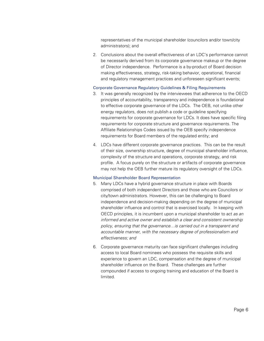representatives of the municipal shareholder (councilors and/or town/city administrators); and

2. Conclusions about the overall effectiveness of an LDC's performance cannot be necessarily derived from its corporate governance makeup or the degree of Director independence. Performance is a by-product of Board decision making effectiveness, strategy, risk-taking behavior, operational, financial and regulatory management practices and unforeseen significant events;

#### Corporate Governance Regulatory Guidelines & Filing Requirements

- 3. It was generally recognized by the interviewees that adherence to the OECD principles of accountability, transparency and independence is foundational to effective corporate governance of the LDCs. The OEB, not unlike other energy regulators, does not publish a code or guideline specifying requirements for corporate governance for LDCs. It does have specific filing requirements for corporate structure and governance requirements. The Affiliate Relationships Codes issued by the OEB specify independence requirements for Board members of the regulated entity; and
- 4. LDCs have different corporate governance practices. This can be the result of their size, ownership structure, degree of municipal shareholder influence, complexity of the structure and operations, corporate strategy, and risk profile. A focus purely on the structure or artifacts of corporate governance may not help the OEB further mature its regulatory oversight of the LDCs.

#### Municipal Shareholder Board Representation

- 5. Many LDCs have a hybrid governance structure in place with Boards comprised of both independent Directors and those who are Councilors or city/town administrators. However, this can be challenging to Board independence and decision-making depending on the degree of municipal shareholder influence and control that is exercised locally. In keeping with OECD principles, it is incumbent upon a municipal shareholder to act *as an informed and active owner and establish a clear and consistent ownership policy, ensuring that the governance…is carried out in a transparent and accountable manner, with the necessary degree of professionalism and effectiveness; and*
- 6. Corporate governance maturity can face significant challenges including access to local Board nominees who possess the requisite skills and experience to govern an LDC, compensation and the degree of municipal shareholder influence on the Board. These challenges are further compounded if access to ongoing training and education of the Board is limited.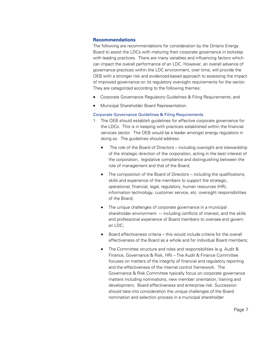#### **Recommendations**

The following are recommendations for consideration by the Ontario Energy Board to assist the LDCs with maturing their corporate governance in lockstep with leading practices. There are many variables and influencing factors which can impact the overall performance of an LDC. However, an overall advance of governance practices within the LDC environment, over time, will provide the OEB with a stronger risk and evidenced-based approach to assessing the impact of improved governance on its regulatory oversight requirements for the sector. They are categorized according to the following themes:

- Corporate Governance Regulatory Guidelines & Filing Requirements; and
- Municipal Shareholder Board Representation.

#### Corporate Governance Guidelines & Filing Requirements

- 1. The OEB should establish guidelines for effective corporate governance for the LDCs. This is in keeping with practices established within the financial services sector. The OEB would be a leader amongst energy regulators in doing so. The guidelines should address:
	- The role of the Board of Directors including oversight and stewardship of the strategic direction of the corporation, acting in the best interest of the corporation, legislative compliance and distinguishing between the role of management and that of the Board;
	- The composition of the Board of Directors including the qualifications, skills and experience of the members to support the strategic, operational, financial, legal, regulatory, human resources (HR), information technology, customer service, etc. oversight responsibilities of the Board;
	- The unique challenges of corporate governance in a municipal shareholder environment  $-$  including conflicts of interest, and the skills and professional experience of Board members to oversee and govern an LDC;
	- Board effectiveness criteria this would include criteria for the overall effectiveness of the Board as a whole and for individual Board members;
	- The Committee structure and roles and responsibilities (e.g. Audit & Finance, Governance & Risk, HR) – The Audit & Finance Committee focuses on matters of the integrity of financial and regulatory reporting and the effectiveness of the internal control framework. The Governance & Risk Committee typically focus on corporate governance matters including nominations, new member orientation, training and development, Board effectiveness and enterprise risk. Succession should take into consideration the unique challenges of the Board nomination and selection process in a municipal shareholder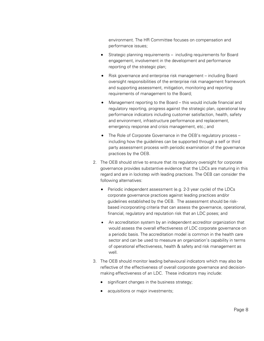environment. The HR Committee focuses on compensation and performance issues;

- Strategic planning requirements including requirements for Board engagement, involvement in the development and performance reporting of the strategic plan;
- Risk governance and enterprise risk management including Board oversight responsibilities of the enterprise risk management framework and supporting assessment, mitigation, monitoring and reporting requirements of management to the Board;
- Management reporting to the Board this would include financial and regulatory reporting, progress against the strategic plan, operational key performance indicators including customer satisfaction, health, safety and environment, infrastructure performance and replacement, emergency response and crisis management, etc.; and
- The Role of Corporate Governance in the OEB's regulatory process including how the guidelines can be supported through a self or third party assessment process with periodic examination of the governance practices by the OEB.
- 2. The OEB should strive to ensure that its regulatory oversight for corporate governance provides substantive evidence that the LDCs are maturing in this regard and are in lockstep with leading practices. The OEB can consider the following alternatives:
	- Periodic independent assessment (e.g. 2-3 year cycle) of the LDCs corporate governance practices against leading practices and/or guidelines established by the OEB. The assessment should be riskbased incorporating criteria that can assess the governance, operational, financial, regulatory and reputation risk that an LDC poses; and
	- An accreditation system by an independent accreditor organization that would assess the overall effectiveness of LDC corporate governance on a periodic basis. The accreditation model is common in the health care sector and can be used to measure an organization's capability in terms of operational effectiveness, health & safety and risk management as well.
- 3. The OEB should monitor leading behavioural indicators which may also be reflective of the effectiveness of overall corporate governance and decisionmaking effectiveness of an LDC. These indicators may include:
	- significant changes in the business strategy;
	- acquisitions or major investments;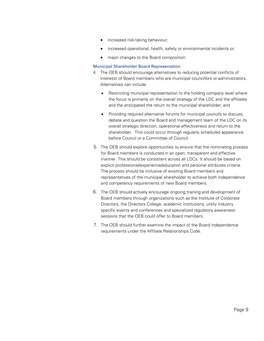- increased risk-taking behaviour;
- increased operational, health, safety or environmental incidents or;
- major changes to the Board composition.

#### Municipal Shareholder Board Representation

- 4. The OEB should encourage alternatives to reducing potential conflicts of interests of Board members who are municipal councillors or administrators. Alternatives can include:
	- Restricting municipal representation to the holding company level where the focus is primarily on the overall strategy of the LDC and the affiliates and the anticipated the return to the municipal shareholder; and
	- Providing required alternative forums for municipal councils to discuss, debate and question the Board and management team of the LDC on its overall strategic direction, operational effectiveness and return to the shareholder. This could occur through regularly scheduled appearance before Council or a Committee of Council.
- 5. The OEB should explore opportunities to ensure that the nominating process for Board members is conducted in an open, transparent and effective manner. This should be consistent across all LDCs. It should be based on explicit professional/experience/education and personal attributes criteria. The process should be inclusive of existing Board members and representatives of the municipal shareholder to achieve both independence and competency requirements of new Board members.
- 6. The OEB should actively encourage ongoing training and development of Board members through organizations such as the Institute of Corporate Directors, the Directors College, academic institutions, utility industry specific events and conferences and specialized regulatory awareness sessions that the OEB could offer to Board members.
- 7. The OEB should further examine the impact of the Board independence requirements under the Affiliate Relationships Code.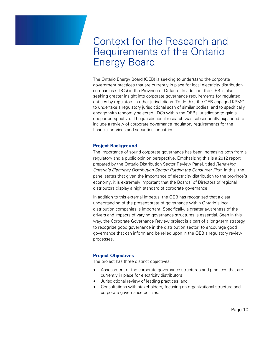### Context for the Research and Requirements of the Ontario Energy Board

The Ontario Energy Board (OEB) is seeking to understand the corporate government practices that are currently in place for local electricity distribution companies (LDCs) in the Province of Ontario. In addition, the OEB is also seeking greater insight into corporate governance requirements for regulated entities by regulators in other jurisdictions. To do this, the OEB engaged KPMG to undertake a regulatory jurisdictional scan of similar bodies, and to specifically engage with randomly selected LDCs within the OEBs jurisdiction to gain a deeper perspective. The jurisdictional research was subsequently expanded to include a review of corporate governance regulatory requirements for the financial services and securities industries.

#### **Project Background**

The importance of sound corporate governance has been increasing both from a regulatory and a public opinion perspective. Emphasizing this is a 2012 report prepared by the Ontario Distribution Sector Review Panel, titled *Renewing Ontario's Electricity Distribution Sector: Putting the Consumer First*. In this, the panel states that given the importance of electricity distribution to the province's economy, it is extremely important that the Boards' of Directors of regional distributors display a high standard of corporate governance.

In addition to this external impetus, the OEB has recognized that a clear understanding of the present state of governance within Ontario's local distribution companies is important. Specifically, a greater awareness of the drivers and impacts of varying governance structures is essential. Seen in this way, the Corporate Governance Review project is a part of a long-term strategy to recognize good governance in the distribution sector, to encourage good governance that can inform and be relied upon in the OEB's regulatory review processes.

#### **Project Objectives**

The project has three distinct objectives:

- Assessment of the corporate governance structures and practices that are currently in place for electricity distributors;
- Jurisdictional review of leading practices; and
- Consultations with stakeholders, focusing on organizational structure and corporate governance policies.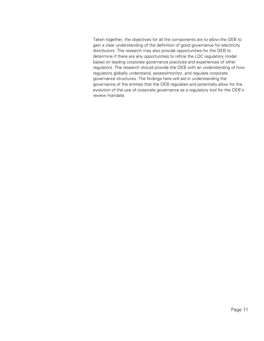Taken together, the objectives for all the components are to allow the OEB to gain a clear understanding of the definition of good governance for electricity distributors. The research may also provide opportunities for the OEB to determine if there are any opportunities to refine the LDC regulatory model based on leading corporate governance practices and experiences of other regulators. The research should provide the OEB with an understanding of how regulators globally understand, assess/monitor, and regulate corporate governance structures. The findings here will aid in understanding the governance of the entities that the OEB regulates and potentially allow for the evolution of the use of corporate governance as a regulatory tool for the OEB's review mandate.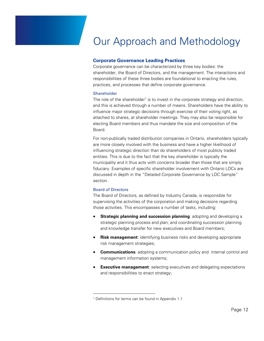# Our Approach and Methodology

#### **Corporate Governance Leading Practices**

Corporate governance can be characterized by three key bodies: the shareholder, the Board of Directors, and the management. The interactions and responsibilities of these three bodies are foundational to enacting the rules, practices, and processes that define corporate governance.

#### Shareholder

The role of the shareholder<sup>1</sup> is to invest in the corporate strategy and direction, and this is achieved through a number of means. Shareholders have the ability to influence major strategic decisions through exercise of their voting right, as attached to shares, at shareholder meetings. They may also be responsible for electing Board members and thus mandate the size and composition of the Board.

For non-publically traded distribution companies in Ontario, shareholders typically are more closely involved with the business and have a higher likelihood of influencing strategic direction than do shareholders of most publicly traded entities. This is due to the fact that the key shareholder is typically the municipality and it thus acts with concerns broader than those that are simply fiduciary. Examples of specific shareholder involvement with Ontario LDCs are discussed in depth in the "Detailed Corporate Governance by LDC Sample" section.

#### Board of Directors

 $\overline{a}$ 

The Board of Directors, as defined by Industry Canada, is responsible for supervising the activities of the corporation and making decisions regarding those activities. This encompasses a number of tasks, including:

- **Strategic planning and succession planning**: adopting and developing a strategic planning process and plan, and coordinating succession planning and knowledge transfer for new executives and Board members;
- **Risk management**: identifying business risks and developing appropriate risk management strategies;
- **Communications**: adopting a communication policy and internal control and management information systems;
- **Executive management**: selecting executives and delegating expectations and responsibilities to enact strategy;

<sup>1</sup> Definitions for terms can be found in Appendix 1.1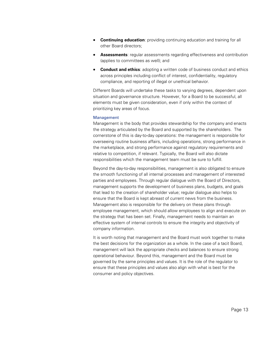- **Continuing education**: providing continuing education and training for all other Board directors;
- **Assessments:** regular assessments regarding effectiveness and contribution (applies to committees as well); and
- **Conduct and ethics**: adopting a written code of business conduct and ethics across principles including conflict of interest, confidentiality, regulatory compliance, and reporting of illegal or unethical behavior.

Different Boards will undertake these tasks to varying degrees, dependent upon situation and governance structure. However, for a Board to be successful, all elements must be given consideration, even if only within the context of prioritizing key areas of focus.

#### Management

Management is the body that provides stewardship for the company and enacts the strategy articulated by the Board and supported by the shareholders. The cornerstone of this is day-to-day operations: the management is responsible for overseeing routine business affairs, including operations, strong performance in the marketplace, and strong performance against regulatory requirements and relative to competition, if relevant. Typically, the Board will also dictate responsibilities which the management team must be sure to fulfill.

Beyond the day-to-day responsibilities, management is also obligated to ensure the smooth functioning of all internal processes and management of interested parties and employees. Through regular dialogue with the Board of Directors, management supports the development of business plans, budgets, and goals that lead to the creation of shareholder value; regular dialogue also helps to ensure that the Board is kept abreast of current news from the business. Management also is responsible for the delivery on these plans through employee management, which should allow employees to align and execute on the strategy that has been set. Finally, management needs to maintain an effective system of internal controls to ensure the integrity and objectivity of company information.

It is worth noting that management and the Board must work together to make the best decisions for the organization as a whole. In the case of a tacit Board, management will lack the appropriate checks and balances to ensure strong operational behaviour. Beyond this, management and the Board must be governed by the same principles and values. It is the role of the regulator to ensure that these principles and values also align with what is best for the consumer and policy objectives.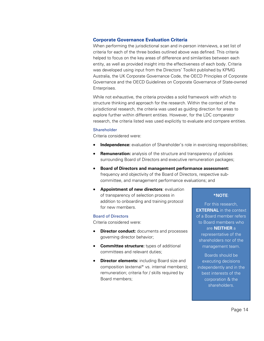#### **Corporate Governance Evaluation Criteria**

When performing the jurisdictional scan and in-person interviews, a set list of criteria for each of the three bodies outlined above was defined. This criteria helped to focus on the key areas of difference and similarities between each entity, as well as provided insight into the effectiveness of each body. Criteria was developed using input from the Directors' Toolkit published by KPMG Australia, the UK Corporate Governance Code, the OECD Principles of Corporate Governance and the OECD Guidelines on Corporate Governance of State-owned Enterprises.

While not exhaustive, the criteria provides a solid framework with which to structure thinking and approach for the research. Within the context of the jurisdictional research, the criteria was used as guiding direction for areas to explore further within different entities. However, for the LDC comparator research, the criteria listed was used explicitly to evaluate and compare entities.

#### **Shareholder**

Criteria considered were:

- **Independence:** evaluation of Shareholder's role in exercising responsibilities;
- **Remuneration:** analysis of the structure and transparency of policies surrounding Board of Directors and executive remuneration packages;
- **Board of Directors and management performance assessment:** frequency and objectivity of the Board of Directors, respective subcommittee, and management performance evaluations; and
- **Appointment of new directors**: evaluation of transparency of selection process in addition to onboarding and training protocol for new members.

#### Board of Directors

Criteria considered were:

- **Director conduct:** documents and processes governing director behavior;
- **Committee structure:** types of additional committees and relevant duties;
- **Director elements:** including Board size and composition (external\* vs. internal members); remuneration; criteria for / skills required by Board members;

#### **\*NOTE***:*

For this research, **EXTERNAL** in the context of a Board member refers to Board members who are **NEITHER** a representative of the shareholders nor of the management team.

Boards should be executing decisions independently and in the best interests of the corporation & the shareholders.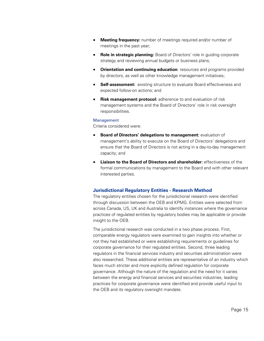- **Meeting frequency:** number of meetings required and/or number of meetings in the past year;
- **Role in strategic planning:** Board of Directors' role in guiding corporate strategy and reviewing annual budgets or business plans;
- **Orientation and continuing education**: resources and programs provided by directors, as well as other knowledge management initiatives;
- **Self-assessment:** existing structure to evaluate Board effectiveness and expected follow-on actions; and
- **Risk management protocol:** adherence to and evaluation of risk management systems and the Board of Directors' role in risk oversight responsibilities.

#### Management

Criteria considered were:

- **Board of Directors' delegations to management:** evaluation of management's ability to execute on the Board of Directors' delegations and ensure that the Board of Directors is not acting in a day-to-day management capacity; and
- **Liaison to the Board of Directors and shareholder:** effectiveness of the formal communications by management to the Board and with other relevant interested parties.

#### **Jurisdictional Regulatory Entities - Research Method**

The regulatory entities chosen for the jurisdictional research were identified through discussion between the OEB and KPMG. Entities were selected from across Canada, US, UK and Australia to identify instances where the governance practices of regulated entities by regulatory bodies may be applicable or provide insight to the OEB.

The jurisdictional research was conducted in a two phase process. First, comparable energy regulators were examined to gain insights into whether or not they had established or were establishing requirements or guidelines for corporate governance for their regulated entities. Second, three leading regulators in the financial services industry and securities administration were also researched. These additional entities are representative of an industry which faces much stricter and more explicitly defined regulation for corporate governance. Although the nature of the regulation and the need for it varies between the energy and financial services and securities industries, leading practices for corporate governance were identified and provide useful input to the OEB and its regulatory oversight mandate.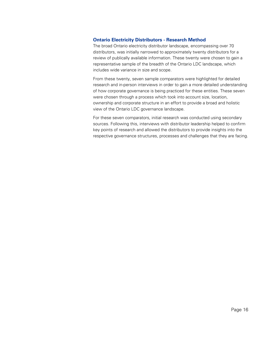### **Ontario Electricity Distributors - Research Method**

The broad Ontario electricity distributor landscape, encompassing over 70 distributors, was initially narrowed to approximately twenty distributors for a review of publically available information. These twenty were chosen to gain a representative sample of the breadth of the Ontario LDC landscape, which includes wide variance in size and scope.

From these twenty, seven sample comparators were highlighted for detailed research and in-person interviews in order to gain a more detailed understanding of how corporate governance is being practiced for these entities. These seven were chosen through a process which took into account size, location, ownership and corporate structure in an effort to provide a broad and holistic view of the Ontario LDC governance landscape.

For these seven comparators, initial research was conducted using secondary sources. Following this, interviews with distributor leadership helped to confirm key points of research and allowed the distributors to provide insights into the respective governance structures, processes and challenges that they are facing.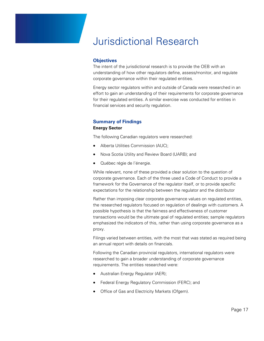### Jurisdictional Research

#### **Objectives**

The intent of the jurisdictional research is to provide the OEB with an understanding of how other regulators define, assess/monitor, and regulate corporate governance within their regulated entities.

Energy sector regulators within and outside of Canada were researched in an effort to gain an understanding of their requirements for corporate governance for their regulated entities. A similar exercise was conducted for entities in financial services and security regulation.

### **Summary of Findings**

#### **Energy Sector**

The following Canadian regulators were researched:

- Alberta Utilities Commission (AUC);
- Nova Scotia Utility and Review Board (UARB); and
- Québec régie de l'énergie.

While relevant, none of these provided a clear solution to the question of corporate governance. Each of the three used a Code of Conduct to provide a framework for the Governance of the regulator itself, or to provide specific expectations for the relationship between the regulator and the distributor

Rather than imposing clear corporate governance values on regulated entities, the researched regulators focused on regulation of dealings with customers. A possible hypothesis is that the fairness and effectiveness of customer transactions would be the ultimate goal of regulated entities; sample regulators emphasized the indicators of this, rather than using corporate governance as a proxy.

Filings varied between entities, with the most that was stated as required being an annual report with details on financials.

Following the Canadian provincial regulators, international regulators were researched to gain a broader understanding of corporate governance requirements. The entities researched were:

- Australian Energy Regulator (AER);
- Federal Energy Regulatory Commission (FERC); and
- Office of Gas and Electricity Markets (Ofgem).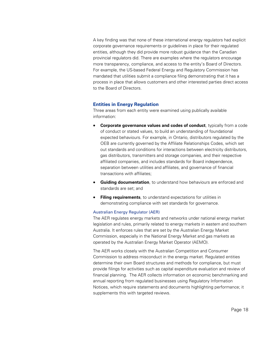A key finding was that none of these international energy regulators had explicit corporate governance requirements or guidelines in place for their regulated entities, although they did provide more robust guidance than the Canadian provincial regulators did. There are examples where the regulators encourage more transparency, compliance, and access to the entity's Board of Directors. For example, the US-based Federal Energy and Regulatory Commission has mandated that utilities submit a compliance filing demonstrating that it has a process in place that allows customers and other interested parties direct access to the Board of Directors.

#### **Entities in Energy Regulation**

Three areas from each entity were examined using publically available information:

- **Corporate governance values and codes of conduct**, typically from a code of conduct or stated values, to build an understanding of foundational expected behaviours. For example, in Ontario, distributors regulated by the OEB are currently governed by the Affiliate Relationships Codes, which set out standards and conditions for interactions between electricity distributors, gas distributors, transmitters and storage companies, and their respective affiliated companies, and includes standards for Board independence, separation between utilities and affiliates, and governance of financial transactions with affiliates;
- **Guiding documentation**, to understand how behaviours are enforced and standards are set; and
- **Filing requirements**, to understand expectations for utilities in demonstrating compliance with set standards for governance.

#### Australian Energy Regulator (AER)

The AER regulates energy markets and networks under national energy market legislation and rules, primarily related to energy markets in eastern and southern Australia. It enforces rules that are set by the Australian Energy Market Commission, especially in the National Energy Market and gas markets as operated by the Australian Energy Market Operator (AEMO).

The AER works closely with the Australian Competition and Consumer Commission to address misconduct in the energy market. Regulated entities determine their own Board structures and methods for compliance, but must provide filings for activities such as capital expenditure evaluation and review of financial planning. The AER collects information on economic benchmarking and annual reporting from regulated businesses using Regulatory Information Notices, which require statements and documents highlighting performance; it supplements this with targeted reviews.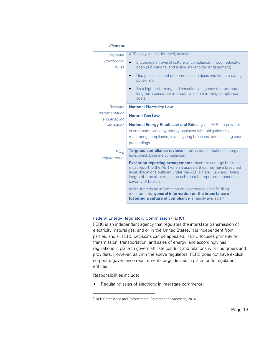| <b>Element</b>         |                                                                                                                                                                                                                                                                                                |
|------------------------|------------------------------------------------------------------------------------------------------------------------------------------------------------------------------------------------------------------------------------------------------------------------------------------------|
| Corporate              | AER's key values, for itself, include:                                                                                                                                                                                                                                                         |
| governance<br>values   | Encourage an overall culture of compliance through education,<br>open publications, and active stakeholder engagement;                                                                                                                                                                         |
|                        | Use principles- and outcomes-based decisions when creating<br>$\bullet$<br>policy; and                                                                                                                                                                                                         |
|                        | Be a high performing and consultative agency that promotes<br>long-term consumer interests while minimizing compliance<br>costs.                                                                                                                                                               |
| Relevant               | <b>National Electricity Law</b>                                                                                                                                                                                                                                                                |
| documentation          | <b>Natural Gas Law</b>                                                                                                                                                                                                                                                                         |
| and enabling           |                                                                                                                                                                                                                                                                                                |
| legislation            | <b>National Energy Retail Law and Rules:</b> gives AER the power to                                                                                                                                                                                                                            |
|                        | ensure compliance by energy business with obligations by                                                                                                                                                                                                                                       |
|                        | monitoring compliance, investigating breaches, and initiating court                                                                                                                                                                                                                            |
|                        | proceedings.                                                                                                                                                                                                                                                                                   |
| Filing<br>requirements | Targeted compliance reviews of provisions of national energy<br>laws check baseline compliance.                                                                                                                                                                                                |
|                        | <b>Exception reporting arrangements</b> mean that energy business<br>must report to the AER when it appears they may have breached<br>legal obligations outlined under the AER's Retail Law and Rules;<br>length of time after which breach must be reported depends on<br>severity of breach. |
|                        | While there is no information on governance-specific filing<br>requirements, general information on the importance of<br>fostering a culture of compliance is readily available. <sup>2</sup>                                                                                                  |

#### Federal Energy Regulatory Commission (FERC)

FERC is an independent agency that regulates the interstate transmission of electricity, natural gas, and oil in the United States. It is independent from parties, and all FERC decisions can be appealed. FERC focuses primarily on transmission, transportation, and sales of energy, and accordingly has regulations in place to govern affiliate conduct and relations with customers and providers. However, as with the above regulators, FERC does not have explicit corporate governance requirements or guidelines in place for its regulated entities.

Responsibilities include:

 $\overline{a}$ 

Regulating sales of electricity in interstate commerce;

<sup>2</sup> AER Compliance and Enforcement: Statement of Approach, 2014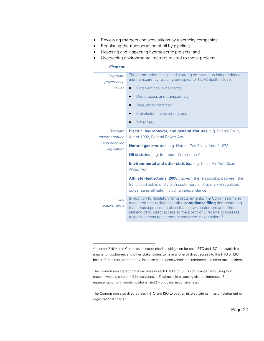- Reviewing mergers and acquisitions by electricity companies;
- Regulating the transportation of oil by pipeline;
- Licensing and inspecting hydroelectric projects; and
- Overseeing environmental matters related to these projects.

#### *Element*

 $\overline{a}$ 

| Corporate<br>governance                                  | The commission has placed a strong emphasis on independence<br>and transparency. Guiding principles for FERC itself include:                                                                                                                                                                                                                      |
|----------------------------------------------------------|---------------------------------------------------------------------------------------------------------------------------------------------------------------------------------------------------------------------------------------------------------------------------------------------------------------------------------------------------|
| values                                                   | Organizational excellence;                                                                                                                                                                                                                                                                                                                        |
|                                                          | Due process and transparency;<br>$\bullet$                                                                                                                                                                                                                                                                                                        |
|                                                          | Regulatory certainty;                                                                                                                                                                                                                                                                                                                             |
|                                                          | Stakeholder involvement; and                                                                                                                                                                                                                                                                                                                      |
|                                                          | Timelines.                                                                                                                                                                                                                                                                                                                                        |
| Relevant<br>documentation<br>and enabling<br>legislation | <b>Electric, hydropower, and general statutes</b> , e.g. Energy Policy<br>Act of 1992, Federal Power Act                                                                                                                                                                                                                                          |
|                                                          | <b>Natural gas statutes</b> , e.g. Natural Gas Policy Act of 1978                                                                                                                                                                                                                                                                                 |
|                                                          | <b>Oil statutes</b> , e.g. Interstate Commerce Act                                                                                                                                                                                                                                                                                                |
|                                                          | <b>Environmental and other statutes, e.g. Clean Air Act, Clean</b><br><b>Water Act</b>                                                                                                                                                                                                                                                            |
|                                                          | <b>Affiliate Restrictions (2008):</b> govern the relationship between the<br>franchised public utility with customers and its market-regulated<br>power sales affiliate, including independence.                                                                                                                                                  |
| Filing<br>requirements                                   | In addition to regulatory filing requirements, the Commission also<br>mandated that utilities submit a compliance filing demonstrating<br>that it has a process in place that allows customers and other<br>stakeholders' direct access to the Board of Directors to increase<br>responsiveness to customers and other stakeholders. <sup>3</sup> |

The Commission also directed each RTO and ISO to post on its web site its mission statement or organizational charter.

<sup>&</sup>lt;sup>3</sup> In order 719-A, the Commission established an obligation for each RTO and ISO to establish a means for customers and other stakeholders to have a form of direct access to the RTO or ISO board of directors, and thereby, increase its responsiveness to customers and other stakeholders.

The Commission stated that it will assess each RTO's or ISO's compliance filing using four responsiveness criteria: (1) inclusiveness; (2) fairness in balancing diverse interests; (3) representation of minority positions; and (4) ongoing responsiveness.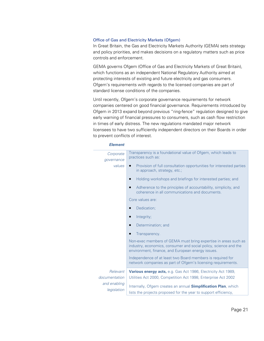#### Office of Gas and Electricity Markets (Ofgem)

In Great Britain, the Gas and Electricity Markets Authority (GEMA) sets strategy and policy priorities, and makes decisions on a regulatory matters such as price controls and enforcement.

GEMA governs Ofgem (Office of Gas and Electricity Markets of Great Britain), which functions as an independent National Regulatory Authority aimed at protecting interests of existing and future electricity and gas consumers. Ofgem's requirements with regards to the licensed companies are part of standard license conditions of the companies.

Until recently, Ofgem's corporate governance requirements for network companies centered on good financial governance. Requirements introduced by Ofgem in 2013 expand beyond previous "ring-fence" regulation designed to give early warning of financial pressures to consumers, such as cash flow restriction in times of early distress. The new regulations mandated major network licensees to have two sufficiently independent directors on their Boards in order to prevent conflicts of interest.

#### *Element*

| Corporate<br>governance     | Transparency is a foundational value of Ofgem, which leads to<br>practices such as:                                                                                                     |
|-----------------------------|-----------------------------------------------------------------------------------------------------------------------------------------------------------------------------------------|
| values                      | Provision of full consultation opportunities for interested parties<br>in approach, strategy, etc.;                                                                                     |
|                             | Holding workshops and briefings for interested parties; and                                                                                                                             |
|                             | Adherence to the principles of accountability, simplicity, and<br>coherence in all communications and documents.                                                                        |
|                             | Core values are:                                                                                                                                                                        |
|                             | Dedication;                                                                                                                                                                             |
|                             | Integrity;                                                                                                                                                                              |
|                             | Determination; and                                                                                                                                                                      |
|                             | Transparency.                                                                                                                                                                           |
|                             | Non-exec members of GEMA must bring expertise in areas such as<br>industry, economics, consumer and social policy, science and the<br>environment, finance, and European energy issues. |
|                             | Independence of at least two Board members is required for<br>network companies as part of Ofgem's licensing requirements.                                                              |
| Relevant                    | <b>Various energy acts, e.g. Gas Act 1986, Electricity Act 1989,</b>                                                                                                                    |
| documentation               | Utilities Act 2000, Competition Act 1998, Enterprise Act 2002                                                                                                                           |
| and enabling<br>legislation | Internally, Ofgem creates an annual <b>Simplification Plan</b> , which                                                                                                                  |
|                             | lists the projects proposed for the year to support efficiency,                                                                                                                         |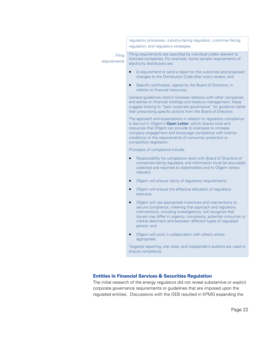|                        | regulatory processes, industry-facing regulation, customer-facing<br>regulation, and regulatory strategies                                                                                                                                                                                                                                        |
|------------------------|---------------------------------------------------------------------------------------------------------------------------------------------------------------------------------------------------------------------------------------------------------------------------------------------------------------------------------------------------|
| Filing<br>requirements | Filing requirements are specified by individual codes relevant to<br>licenced companies. For example, some sample requirements of<br>electricity distributors are:                                                                                                                                                                                |
|                        | A requirement to send a report on the outcomes and proposed<br>$\bullet$<br>changes to the Distribution Code after every review; and                                                                                                                                                                                                              |
|                        | Specific certificates, signed by the Board of Directors, in<br>relation to financial resources.                                                                                                                                                                                                                                                   |
|                        | General guidelines restrict licensee relations with other companies<br>and advise on financial holdings and treasury management; these<br>suggest looking to "best corporate governance" for guidance rather<br>than prescribing specific actions from the Board of Directors.                                                                    |
|                        | The approach and expectations in relation to regulatory compliance<br>is laid out in Ofgem's Open Letter, which shares tools and<br>resources that Ofgem can provide to licensees to increase<br>company engagement and encourage compliance with licence<br>conditions or the requirements of consumer protection or<br>competition legislation. |
|                        | Principles of compliance include:                                                                                                                                                                                                                                                                                                                 |
|                        | Responsibility for compliance rests with Board of Directors of<br>companies being regulated, and information must be accurately<br>collected and reported to stakeholders and to Ofgem where<br>relevant;                                                                                                                                         |
|                        | Ofgem will ensure clarity of regulatory requirements;                                                                                                                                                                                                                                                                                             |
|                        | Ofgem will ensure the effective allocation of regulatory<br>$\bullet$<br>resource;                                                                                                                                                                                                                                                                |
|                        | Ofgem will use appropriate incentives and interventions to<br>$\bullet$<br>secure compliance, meaning that approach and regulatory<br>interventions, including investigations, will recognize that<br>issues may differ in urgency, complexity, potential consumer or<br>market detriment and between different types of regulated<br>person; and |
|                        | Ofgem will work in collaboration with others where<br>appropriate.                                                                                                                                                                                                                                                                                |
|                        | Targeted reporting, site visits, and independent auditors are used to<br>ensure compliance.                                                                                                                                                                                                                                                       |
|                        |                                                                                                                                                                                                                                                                                                                                                   |
|                        |                                                                                                                                                                                                                                                                                                                                                   |

### **Entities in Financial Services & Securities Regulation**

The initial research of the energy regulators did not reveal substantive or explicit corporate governance requirements or guidelines that are imposed upon the regulated entities. Discussions with the OEB resulted in KPMG expanding the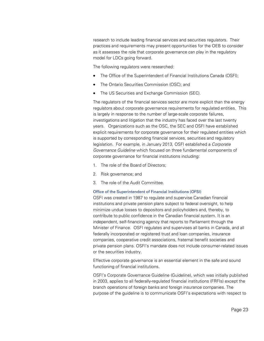research to include leading financial services and securities regulators. Their practices and requirements may present opportunities for the OEB to consider as it assesses the role that corporate governance can play in the regulatory model for LDCs going forward.

The following regulators were researched:

- The Office of the Superintendent of Financial Institutions Canada (OSFI);
- The Ontario Securities Commission (OSC); and
- The US Securities and Exchange Commission (SEC).

The regulators of the financial services sector are more explicit than the energy regulators about corporate governance requirements for regulated entities. This is largely in response to the number of large-scale corporate failures, investigations and litigation that the industry has faced over the last twenty years. Organizations such as the OSC, the SEC and OSFI have established explicit requirements for corporate governance for their regulated entities which is supported by corresponding financial services, securities and regulatory legislation. For example, in January 2013, OSFI established a *Corporate Governance Guideline* which focused on three fundamental components of corporate governance for financial institutions including:

- 1. The role of the Board of Directors;
- 2. Risk governance; and
- 3. The role of the Audit Committee.

#### Office of the Superintendent of Financial Institutions (OFSI)

OSFI was created in 1987 to regulate and supervise Canadian financial institutions and private pension plans subject to federal oversight, to help minimize undue losses to depositors and policyholders and, thereby, to contribute to public confidence in the Canadian financial system. It is an independent, self-financing agency that reports to Parliament through the Minister of Finance. OSFI regulates and supervises all banks in Canada, and all federally incorporated or registered trust and loan companies, insurance companies, cooperative credit associations, fraternal benefit societies and private pension plans. OSFI's mandate does not include consumer-related issues or the securities industry.

Effective corporate governance is an essential element in the safe and sound functioning of financial institutions.

OSFI's Corporate Governance Guideline (Guideline), which was initially published in 2003, applies to all federally-regulated financial institutions (FRFIs) except the branch operations of foreign banks and foreign insurance companies. The purpose of the guideline is to communicate OSFI's expectations with respect to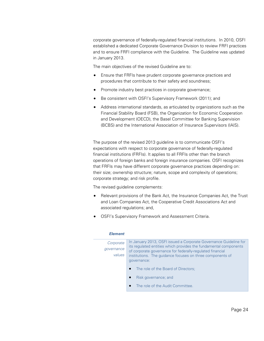corporate governance of federally-regulated financial institutions. In 2010, OSFI established a dedicated Corporate Governance Division to review FRFI practices and to ensure FRFI compliance with the Guideline. The Guideline was updated in January 2013.

The main objectives of the revised Guideline are to:

- Ensure that FRFIs have prudent corporate governance practices and procedures that contribute to their safety and soundness;
- Promote industry best practices in corporate governance;
- Be consistent with OSFI's Supervisory Framework (2011); and
- Address international standards, as articulated by organizations such as the Financial Stability Board (FSB), the Organization for Economic Cooperation and Development (OECD), the Basel Committee for Banking Supervision (BCBS) and the International Association of Insurance Supervisors (IAIS).

The purpose of the revised 2013 guideline is to communicate OSFI's expectations with respect to corporate governance of federally-regulated financial institutions (FRFIs). It applies to all FRFIs other than the branch operations of foreign banks and foreign insurance companies. OSFI recognizes that FRFIs may have different corporate governance practices depending on: their size; ownership structure; nature, scope and complexity of operations; corporate strategy; and risk profile.

The revised guideline complements:

- Relevant provisions of the Bank Act, the Insurance Companies Act, the Trust and Loan Companies Act, the Cooperative Credit Associations Act and associated regulations; and,
- OSFI's Supervisory Framework and Assessment Criteria.

| --------   |                                                                                                                               |
|------------|-------------------------------------------------------------------------------------------------------------------------------|
| Corporate  | In January 2013, OSFI issued a Corporate Governance Guideline for                                                             |
| governance | its regulated entities which provides the fundamental components<br>of corporate governance for federally-regulated financial |
| values     | institutions. The guidance focuses on three components of                                                                     |
|            | governance:                                                                                                                   |
|            | The role of the Board of Directors;<br>$\bullet$                                                                              |
|            | Risk governance; and                                                                                                          |
|            | The role of the Audit Committee.                                                                                              |
|            |                                                                                                                               |

#### *Element*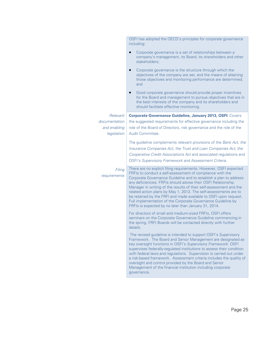|                                              | OSFI has adopted the OECD's principles for corporate governance<br>including:                                                                                                                                                                                                                                                                                                                                                                                                                                                                                                                              |
|----------------------------------------------|------------------------------------------------------------------------------------------------------------------------------------------------------------------------------------------------------------------------------------------------------------------------------------------------------------------------------------------------------------------------------------------------------------------------------------------------------------------------------------------------------------------------------------------------------------------------------------------------------------|
|                                              | Corporate governance is a set of relationships between a<br>company's management, its Board, its shareholders and other<br>stakeholders;                                                                                                                                                                                                                                                                                                                                                                                                                                                                   |
|                                              | Corporate governance is the structure through which the<br>$\bullet$<br>objectives of the company are set, and the means of attaining<br>those objectives and monitoring performance are determined;<br>and                                                                                                                                                                                                                                                                                                                                                                                                |
|                                              | Good corporate governance should provide proper incentives<br>for the Board and management to pursue objectives that are in<br>the best interests of the company and its shareholders and<br>should facilitate effective monitoring.                                                                                                                                                                                                                                                                                                                                                                       |
| Relevant                                     | <b>Corporate Governance Guideline, January 2013, OSFI: Covers</b>                                                                                                                                                                                                                                                                                                                                                                                                                                                                                                                                          |
| documentation<br>and enabling<br>legislation | the suggested requirements for effective governance including the<br>role of the Board of Directors, risk governance and the role of the<br>Audit Committee.                                                                                                                                                                                                                                                                                                                                                                                                                                               |
|                                              | The guideline complements relevant provisions of the Bank Act, the<br>Insurance Companies Act, the Trust and Loan Companies Act, the<br>Cooperative Credit Associations Act and associated regulations and<br><b>OSFI's Supervisory Framework and Assessment Criteria.</b>                                                                                                                                                                                                                                                                                                                                 |
| Filing<br>requirements                       | There are no explicit filing requirements. However, OSFI expected<br>FRFIs to conduct a self-assessment of compliance with the<br>Corporate Governance Guideline and to establish a plan to address<br>any deficiencies. FRFIs should advise their OSFI Relationship<br>Manager in writing of the results of their self-assessment and the<br>related action plans by May 1, 2013. The self-assessments are to<br>be retained by the FRFI and made available to OSFI upon request.<br>Full implementation of the Corporate Governance Guideline by<br>FRFIs is expected by no later than January 31, 2014. |
|                                              | For directors of small and medium-sized FRFIs, OSFI offers<br>seminars on the Corporate Governance Guideline commencing in<br>the spring. FRFI Boards will be contacted directly with further<br>details.                                                                                                                                                                                                                                                                                                                                                                                                  |
|                                              | The revised guideline is intended to support OSFI's Supervisory<br>Framework. The Board and Senior Management are designated as<br>key oversight functions in OSFI's Supervisory Framework. OSFI<br>supervises federally-regulated institutions to assess their condition<br>with federal laws and regulations. Supervision is carried out under<br>a risk-based framework. Assessment criteria includes the quality of<br>oversight and control provided by the Board and Senior<br>Management of the financial institution including corporate<br>governance.                                            |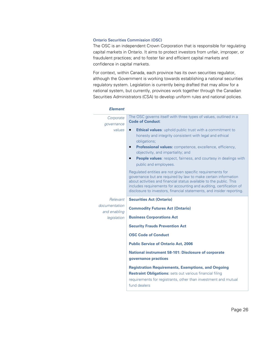#### Ontario Securities Commission (OSC)

The OSC is an independent Crown Corporation that is responsible for regulating capital markets in Ontario. It aims to protect investors from unfair, improper, or fraudulent practices; and to foster fair and efficient capital markets and confidence in capital markets.

For context, within Canada, each province has its own securities regulator, although the Government is working towards establishing a national securities regulatory system. Legislation is currently being drafted that may allow for a national system, but currently, provinces work together through the Canadian Securities Administrators (CSA) to develop uniform rules and national policies.

| <b>Element</b>                |                                                                                                                                                                                                                                                                                                                                                                                                                                                                                                                                                                                                                                                                                                                                         |
|-------------------------------|-----------------------------------------------------------------------------------------------------------------------------------------------------------------------------------------------------------------------------------------------------------------------------------------------------------------------------------------------------------------------------------------------------------------------------------------------------------------------------------------------------------------------------------------------------------------------------------------------------------------------------------------------------------------------------------------------------------------------------------------|
| Corporate<br>governance       | The OSC governs itself with three types of values, outlined in a<br><b>Code of Conduct:</b>                                                                                                                                                                                                                                                                                                                                                                                                                                                                                                                                                                                                                                             |
| values                        | <b>Ethical values:</b> uphold public trust with a commitment to<br>honesty and integrity consistent with legal and ethical<br>obligations;<br><b>Professional values:</b> competence, excellence, efficiency,<br>$\bullet$<br>objectivity, and impartiality; and<br><b>People values:</b> respect, fairness, and courtesy in dealings with<br>$\bullet$<br>public and employees.<br>Regulated entities are not given specific requirements for<br>governance but are required by law to make certain information<br>about activities and financial status available to the public. This<br>includes requirements for accounting and auditing, certification of<br>disclosure to investors, financial statements, and insider reporting. |
| Relevant                      | <b>Securities Act (Ontario)</b>                                                                                                                                                                                                                                                                                                                                                                                                                                                                                                                                                                                                                                                                                                         |
| documentation<br>and enabling | <b>Commodity Futures Act (Ontario)</b>                                                                                                                                                                                                                                                                                                                                                                                                                                                                                                                                                                                                                                                                                                  |
| legislation                   | <b>Business Corporations Act</b>                                                                                                                                                                                                                                                                                                                                                                                                                                                                                                                                                                                                                                                                                                        |
|                               | <b>Security Frauds Prevention Act</b>                                                                                                                                                                                                                                                                                                                                                                                                                                                                                                                                                                                                                                                                                                   |
|                               | <b>OSC Code of Conduct</b>                                                                                                                                                                                                                                                                                                                                                                                                                                                                                                                                                                                                                                                                                                              |
|                               | <b>Public Service of Ontario Act, 2006</b>                                                                                                                                                                                                                                                                                                                                                                                                                                                                                                                                                                                                                                                                                              |
|                               | <b>National instrument 58-101: Disclosure of corporate</b><br>governance practices                                                                                                                                                                                                                                                                                                                                                                                                                                                                                                                                                                                                                                                      |
|                               | <b>Registration Requirements, Exemptions, and Ongoing</b><br><b>Restraint Obligations:</b> sets out various financial filing<br>requirements for registrants, other than investment and mutual<br>fund dealers                                                                                                                                                                                                                                                                                                                                                                                                                                                                                                                          |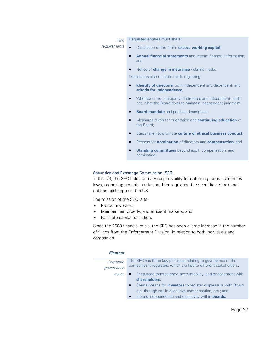| Filing       | Regulated entities must share:                                                                                                            |
|--------------|-------------------------------------------------------------------------------------------------------------------------------------------|
| requirements | Calculation of the firm's <b>excess working capital;</b>                                                                                  |
|              | <b>Annual financial statements</b> and interim financial information;<br>and                                                              |
|              | Notice of <b>change in insurance</b> / claims made.<br>$\bullet$                                                                          |
|              | Disclosures also must be made regarding:                                                                                                  |
|              | Identity of directors, both independent and dependent, and<br>$\bullet$<br>criteria for independence;                                     |
|              | Whether or not a majority of directors are independent, and if<br>$\bullet$<br>not, what the Board does to maintain independent judgment; |
|              | <b>Board mandate</b> and position descriptions;<br>$\bullet$                                                                              |
|              | Measures taken for orientation and <b>continuing education</b> of<br>$\bullet$<br>the Board;                                              |
|              | Steps taken to promote culture of ethical business conduct;<br>$\bullet$                                                                  |
|              | Process for <b>nomination</b> of directors and <b>compensation</b> ; and                                                                  |
|              | <b>Standing committees</b> beyond audit, compensation, and                                                                                |

#### Securities and Exchange Commission (SEC)

In the US, the SEC holds primary responsibility for enforcing federal securities laws, proposing securities rates, and for regulating the securities, stock and options exchanges in the US.

The mission of the SEC is to:

- Protect investors;
- Maintain fair, orderly, and efficient markets; and

nominating.

Facilitate capital formation.

Since the 2008 financial crisis, the SEC has seen a large increase in the number of filings from the Enforcement Division, in relation to both individuals and companies.

#### *Element*

| Corporate  | The SEC has three key principles relating to governance of the<br>companies it regulates, which are tied to different stakeholders: |
|------------|-------------------------------------------------------------------------------------------------------------------------------------|
| qovernance |                                                                                                                                     |
| values     | Encourage transparency, accountability, and engagement with                                                                         |
|            | shareholders;                                                                                                                       |
|            | Create means for <i>investors</i> to register displeasure with Board                                                                |
|            | e.g. through say in executive compensation, etc.; and                                                                               |
|            | Ensure independence and objectivity within <b>boards.</b>                                                                           |
|            |                                                                                                                                     |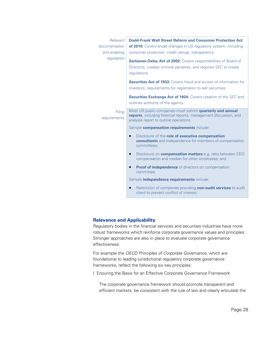| Relevant               | Dodd-Frank Wall Street Reform and Consumer Protection Act                                                                                                               |
|------------------------|-------------------------------------------------------------------------------------------------------------------------------------------------------------------------|
| documentation          | of 2010: Covers broad changes in US regulatory system, including                                                                                                        |
| and enabling           | consumer protection, credit ratings, transparency.                                                                                                                      |
| legislation            | <b>Sarbanes-Oxley Act of 2002:</b> Covers responsibilities of Board of<br>Directors, creates criminal penalties, and requires SEC to create<br>regulations.             |
|                        | <b>Securities Act of 1933:</b> Covers fraud and access of information for<br>investors; requirements for registration to sell securities.                               |
|                        | <b>Securities Exchange Act of 1934:</b> Covers creation of the SEC and<br>outlines authority of the agency.                                                             |
| Filing<br>requirements | Most US public companies must submit quarterly and annual<br>reports, including financial reports, management discussion, and<br>analysis report to outline operations. |
|                        | Sample compensation requirements include:                                                                                                                               |
|                        | Disclosure of the role of executive compensation<br>consultants and independence for members of compensation<br>committees;                                             |
|                        | Disclosure on <b>compensation matters</b> e.g. ratio between CEO<br>$\bullet$<br>compensation and median for other employees; and                                       |
|                        | <b>Proof of independence</b> of directors on compensation<br>$\bullet$<br>committee.                                                                                    |
|                        | Sample <i>independence requirements</i> include:                                                                                                                        |
|                        | Restriction of companies providing non-audit services to audit<br>client to prevent conflict of interest.                                                               |

### **Relevance and Applicability**

Regulatory bodies in the financial services and securities industries have more robust frameworks which reinforce corporate governance values and principles. Stronger approaches are also in place to evaluate corporate governance effectiveness.

For example the *OECD Principles of Corporate Governance,* which are foundational to leading jurisdictional regulatory corporate governance frameworks, reflect the following six key principles:

I. Ensuring the Basis for an Effective Corporate Governance Framework

The corporate governance framework should promote transparent and efficient markets, be consistent with the rule of law and clearly articulate the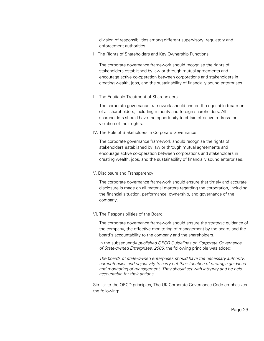division of responsibilities among different supervisory, regulatory and enforcement authorities.

II. The Rights of Shareholders and Key Ownership Functions

The corporate governance framework should recognise the rights of stakeholders established by law or through mutual agreements and encourage active co-operation between corporations and stakeholders in creating wealth, jobs, and the sustainability of financially sound enterprises.

III. The Equitable Treatment of Shareholders

The corporate governance framework should ensure the equitable treatment of all shareholders, including minority and foreign shareholders. All shareholders should have the opportunity to obtain effective redress for violation of their rights.

IV. The Role of Stakeholders in Corporate Governance

The corporate governance framework should recognise the rights of stakeholders established by law or through mutual agreements and encourage active co-operation between corporations and stakeholders in creating wealth, jobs, and the sustainability of financially sound enterprises.

V. Disclosure and Transparency

The corporate governance framework should ensure that timely and accurate disclosure is made on all material matters regarding the corporation, including the financial situation, performance, ownership, and governance of the company.

#### VI. The Responsibilities of the Board

The corporate governance framework should ensure the strategic guidance of the company, the effective monitoring of management by the board, and the board's accountability to the company and the shareholders.

In the subsequently *published OECD Guidelines on Corporate Governance of State-owned Enterprises, 2005,* the following principle was added:

*The boards of state-owned enterprises should have the necessary authority, competencies and objectivity to carry out their function of strategic guidance and monitoring of management. They should act with integrity and be held accountable for their actions.*

Similar to the OECD principles, The UK Corporate Governance Code emphasizes the following: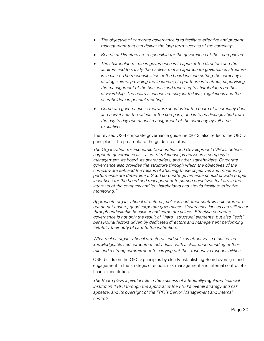- *The objective of corporate governance is to facilitate effective and prudent management that can deliver the long-term success of the company;*
- *Boards of Directors are responsible for the governance of their companies;*
- *The shareholders' role in governance is to appoint the directors and the auditors and to satisfy themselves that an appropriate governance structure is in place. The responsibilities of the board include setting the company's strategic aims, providing the leadership to put them into effect, supervising the management of the business and reporting to shareholders on their stewardship. The board's actions are subject to laws, regulations and the shareholders in general meeting;*
- *Corporate governance is therefore about what the board of a company does and how it sets the values of the company, and is to be distinguished from the day to day operational management of the company by full-time executives;*

The revised OSFI corporate governance guideline (2013) also reflects the OECD principles. The preamble to the guideline states:

*The Organization for Economic Cooperation and Development (OECD) defines corporate governance as: "a set of relationships between a company's management, its board, its shareholders, and other stakeholders. Corporate governance also provides the structure through which the objectives of the company are set, and the means of attaining those objectives and monitoring performance are determined. Good corporate governance should provide proper incentives for the board and management to pursue objectives that are in the interests of the company and its shareholders and should facilitate effective monitoring."* 

*Appropriate organizational structures, policies and other controls help promote, but do not ensure, good corporate governance. Governance lapses can still occur through undesirable behaviour and corporate values. Effective corporate governance is not only the result of "hard" structural elements, but also "soft" behavioural factors driven by dedicated directors and management performing faithfully their duty of care to the institution.* 

*What makes organizational structures and policies effective, in practice, are knowledgeable and competent individuals with a clear understanding of their role and a strong commitment to carrying out their respective responsibilities.* 

OSFI builds on the OECD principles by clearly establishing Board oversight and engagement in the strategic direction, risk management and internal control of a financial institution:

*The Board plays a pivotal role in the success of a federally-regulated financial institution (FRFI) through the approval of the FRFI's overall strategy and risk appetite, and its oversight of the FRFI's Senior Management and internal controls.*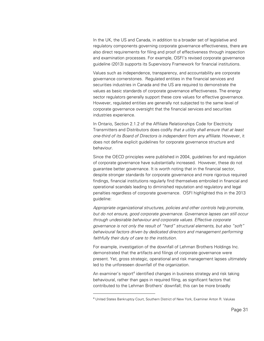In the UK, the US and Canada, in addition to a broader set of legislative and regulatory components governing corporate governance effectiveness, there are also direct requirements for filing and proof of effectiveness through inspection and examination processes. For example, OSFI's revised corporate governance guideline (2013) supports its Supervisory Framework for financial institutions.

Values such as independence, transparency, and accountability are corporate governance cornerstones. Regulated entities in the financial services and securities industries in Canada and the US are required to demonstrate the values as basic standards of corporate governance effectiveness. The energy sector regulators generally support these core values for effective governance. However, regulated entities are generally not subjected to the same level of corporate governance oversight that the financial services and securities industries experience.

In Ontario, Section 2.1.2 of the Affiliate Relationships Code for Electricity Transmitters and Distributors does codify *that a utility shall ensure that at least one-third of its Board of Directors is independent from any affiliate.* However, it does not define explicit guidelines for corporate governance structure and behaviour.

Since the OECD principles were published in 2004, guidelines for and regulation of corporate governance have substantially increased. However, these do not guarantee better governance. It is worth noting that in the financial sector, despite stronger standards for corporate governance and more rigorous required findings, financial institutions regularly find themselves embroiled in financial and operational scandals leading to diminished reputation and regulatory and legal penalties regardless of corporate governance. OSFI highlighted this in the 2013 guideline:

*Appropriate organizational structures, policies and other controls help promote, but do not ensure, good corporate governance. Governance lapses can still occur through undesirable behaviour and corporate values. Effective corporate governance is not only the result of "hard" structural elements, but also "soft" behavioural factors driven by dedicated directors and management performing faithfully their duty of care to the institution.* 

For example, investigation of the downfall of Lehman Brothers Holdings Inc. demonstrated that the artifacts and filings of corporate governance were present. Yet, gross strategic, operational and risk management lapses ultimately led to the unforeseen downfall of the organization.

An examiner's report<sup>4</sup> identified changes in business strategy and risk taking behavioural, rather than gaps in required filing, as significant factors that contributed to the Lehman Brothers' downfall; this can be more broadly

 $\overline{a}$ 

<sup>4</sup> United States Bankruptcy Court, Southern District of New York, Examiner Anton R. Valukas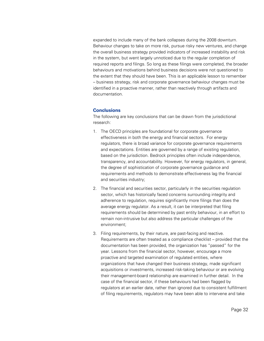expanded to include many of the bank collapses during the 2008 downturn. Behaviour changes to take on more risk, pursue risky new ventures, and change the overall business strategy provided indicators of increased instability and risk in the system, but went largely unnoticed due to the regular completion of required reports and filings. So long as these filings were completed, the broader behaviours and motivations behind business decisions were not questioned to the extent that they should have been. This is an applicable lesson to remember – business strategy, risk and corporate governance behaviour changes must be identified in a proactive manner, rather than reactively through artifacts and documentation.

#### **Conclusions**

The following are key conclusions that can be drawn from the jurisdictional research:

- 1. The OECD principles are foundational for corporate governance effectiveness in both the energy and financial sectors. For energy regulators, there is broad variance for corporate governance requirements and expectations. Entities are governed by a range of existing regulation, based on the jurisdiction. Bedrock principles often include independence, transparency, and accountability. However, for energy regulators, in general, the degree of sophistication of corporate governance guidance and requirements and methods to demonstrate effectiveness lag the financial and securities industry;
- 2. The financial and securities sector, particularly in the securities regulation sector, which has historically faced concerns surrounding integrity and adherence to regulation, requires significantly more filings than does the average energy regulator. As a result, it can be interpreted that filing requirements should be determined by past entity behaviour, in an effort to remain non-intrusive but also address the particular challenges of the environment;
- 3. Filing requirements, by their nature, are past-facing and reactive. Requirements are often treated as a compliance checklist – provided that the documentation has been provided, the organization has "passed" for the year. Lessons from the financial sector, however, encourage a more proactive and targeted examination of regulated entities, where organizations that have changed their business strategy, made significant acquisitions or investments, increased risk-taking behaviour or are evolving their management-board relationship are examined in further detail. In the case of the financial sector, if these behaviours had been flagged by regulators at an earlier date, rather than ignored due to consistent fulfillment of filing requirements, regulators may have been able to intervene and take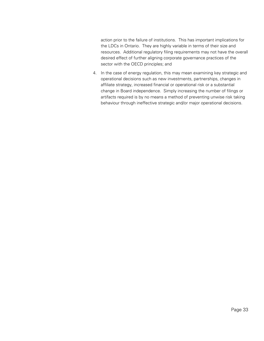action prior to the failure of institutions. This has important implications for the LDCs in Ontario. They are highly variable in terms of their size and resources. Additional regulatory filing requirements may not have the overall desired effect of further aligning corporate governance practices of the sector with the OECD principles; and

4. In the case of energy regulation, this may mean examining key strategic and operational decisions such as new investments, partnerships, changes in affiliate strategy, increased financial or operational risk or a substantial change in Board independence. Simply increasing the number of filings or artifacts required is by no means a method of preventing unwise risk taking behaviour through ineffective strategic and/or major operational decisions.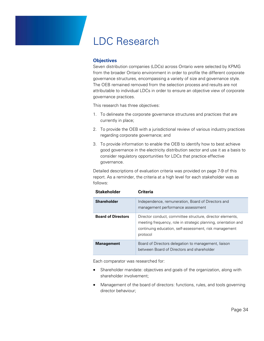### LDC Research

#### **Objectives**

Seven distribution companies (LDCs) across Ontario were selected by KPMG from the broader Ontario environment in order to profile the different corporate governance structures, encompassing a variety of size and governance style. The OEB remained removed from the selection process and results are not attributable to individual LDCs in order to ensure an objective view of corporate governance practices.

This research has three objectives:

- 1. To delineate the corporate governance structures and practices that are currently in place;
- 2. To provide the OEB with a jurisdictional review of various industry practices regarding corporate governance; and
- 3. To provide information to enable the OEB to identify how to best achieve good governance in the electricity distribution sector and use it as a basis to consider regulatory opportunities for LDCs that practice effective governance.

Detailed descriptions of evaluation criteria was provided on page 7-9 of this report. As a reminder, the criteria at a high level for each stakeholder was as follows:

| <b>Stakeholder</b>        | <b>Criteria</b>                                                                                                                                                                                   |
|---------------------------|---------------------------------------------------------------------------------------------------------------------------------------------------------------------------------------------------|
| <b>Shareholder</b>        | Independence, remuneration, Board of Directors and<br>management performance assessment                                                                                                           |
| <b>Board of Directors</b> | Director conduct, committee structure, director elements,<br>meeting frequency, role in strategic planning, orientation and<br>continuing education, self-assessment, risk management<br>protocol |
| <b>Management</b>         | Board of Directors delegation to management, liaison<br>between Board of Directors and shareholder                                                                                                |

Each comparator was researched for:

- Shareholder mandate: objectives and goals of the organization, along with shareholder involvement;
- Management of the board of directors: functions, rules, and tools governing director behaviour;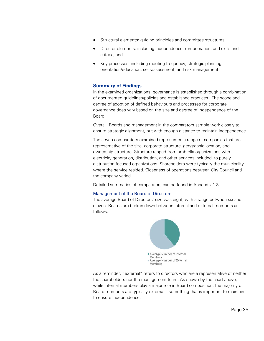- Structural elements: guiding principles and committee structures;
- Director elements: including independence, remuneration, and skills and criteria; and
- Key processes: including meeting frequency, strategic planning, orientation/education, self-assessment, and risk management.

#### **Summary of Findings**

In the examined organizations, governance is established through a combination of documented guidelines/policies and established practices. The scope and degree of adoption of defined behaviours and processes for corporate governance does vary based on the size and degree of independence of the Board.

Overall, Boards and management in the comparators sample work closely to ensure strategic alignment, but with enough distance to maintain independence.

The seven comparators examined represented a range of companies that are representative of the size, corporate structure, geographic location, and ownership structure. Structure ranged from umbrella organizations with electricity generation, distribution, and other services included, to purely distribution-focused organizations. Shareholders were typically the municipality where the service resided. Closeness of operations between City Council and the company varied.

Detailed summaries of comparators can be found in Appendix 1.3.

#### Management of the Board of Directors

The average Board of Directors' size was eight, with a range between six and eleven. Boards are broken down between internal and external members as follows:



As a reminder, "external" refers to directors who are a representative of neither the shareholders nor the management team. As shown by the chart above, while internal members play a major role in Board composition, the majority of Board members are typically external – something that is important to maintain to ensure independence.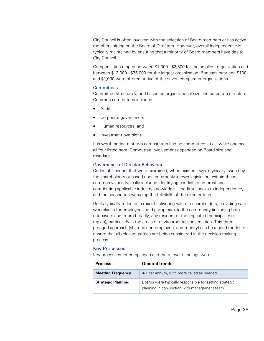City Council is often involved with the selection of Board members or has active members sitting on the Board of Directors. However, overall independence is typically maintained by ensuring that a minority of Board members have ties to City Council.

Compensation ranged between \$1,000 - \$2,500 for the smallest organization and between \$13,000 - \$75,000 for the largest organization. Bonuses between \$100 and \$1,000 were offered at five of the seven comparator organizations.

#### **Committees**

Committee structure varied based on organizational size and corporate structure. Common committees included:

- Audit;
- Corporate governance;
- Human resources; and
- Investment oversight.

It is worth noting that two comparators had no committees at all, while one had all four listed here. Committee involvement depended on Board size and mandate.

#### Governance of Director Behaviour

Codes of Conduct that were examined, when existent, were typically issued by the shareholders or based upon commonly known legislation. Within these, common values typically included identifying conflicts of interest and contributing applicable industry knowledge – the first speaks to independence, and the second to leveraging the full skills of the director team.

Goals typically reflected a mix of delivering value to shareholders, providing safe workplaces for employees, and giving back to the community (including both ratepayers and, more broadly, any resident of the impacted municipality or region), particularly in the areas of environmental conservation. This threepronged approach (shareholder, employee, community) can be a good model to ensure that all relevant parties are being considered in the decision-making process.

#### Key Processes

Key processes for comparison and the relevant findings were:

| <b>Process</b>            | <b>General trends</b>                                                                                    |
|---------------------------|----------------------------------------------------------------------------------------------------------|
| <b>Meeting Frequency</b>  | 4-7 per annum, with more called as needed.                                                               |
| <b>Strategic Planning</b> | Boards were typically responsible for setting strategic<br>planning in conjunction with management team. |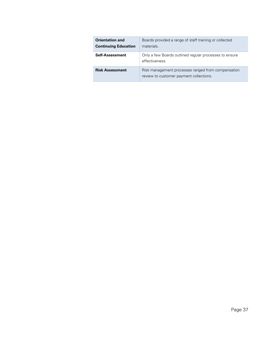| <b>Orientation and</b><br><b>Continuing Education</b> | Boards provided a range of staff training or collected<br>materials.                          |
|-------------------------------------------------------|-----------------------------------------------------------------------------------------------|
| <b>Self-Assessment</b>                                | Only a few Boards outlined regular processes to ensure<br>effectiveness.                      |
| <b>Risk Assessment</b>                                | Risk management processes ranged from compensation<br>review to customer payment collections. |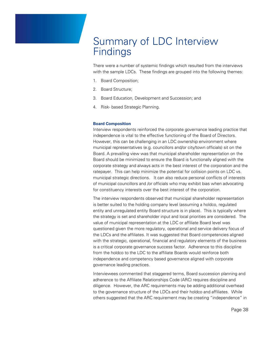### Summary of LDC Interview **Findings**

There were a number of systemic findings which resulted from the interviews with the sample LDCs. These findings are grouped into the following themes:

- 1. Board Composition;
- 2. Board Structure;
- 3. Board Education, Development and Succession; and
- 4. Risk- based Strategic Planning.

#### **Board Composition**

Interview respondents reinforced the corporate governance leading practice that independence is vital to the effective functioning of the Board of Directors. However, this can be challenging in an LDC ownership environment where municipal representatives (e.g. councillors and/or city/town officials) sit on the Board. A prevailing view was that municipal shareholder representation on the Board should be minimized to ensure the Board is functionally aligned with the corporate strategy and always acts in the best interest of the corporation and the ratepayer. This can help minimize the potential for collision points on LDC vs. municipal strategic directions. It can also reduce personal conflicts of interests of municipal councillors and /or officials who may exhibit bias when advocating for constituency interests over the best interest of the corporation.

The interview respondents observed that municipal shareholder representation is better suited to the holding company level (assuming a holdco, regulated entity and unregulated entity Board structure is in place). This is typically where the strategy is set and shareholder input and local priorities are considered. The value of municipal representation at the LDC or affiliate Board level was questioned given the more regulatory, operational and service delivery focus of the LDCs and the affiliates. It was suggested that Board competencies aligned with the strategic, operational, financial and regulatory elements of the business is a critical corporate governance success factor. Adherence to this discipline from the holdco to the LDC to the affiliate Boards would reinforce both independence and competency based governance aligned with corporate governance leading practices.

Interviewees commented that staggered terms, Board succession planning and adherence to the Affiliate Relationships Code (ARC) requires discipline and diligence. However, the ARC requirements may be adding additional overhead to the governance structure of the LDCs and their holdco and affiliates. While others suggested that the ARC requirement may be creating "independence" in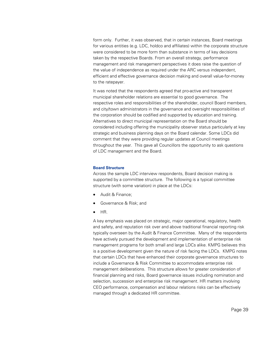form only. Further, it was observed, that in certain instances, Board meetings for various entities (e.g. LDC, holdco and affiliates) within the corporate structure were considered to be more form than substance in terms of key decisions taken by the respective Boards. From an overall strategy, performance management and risk management perspectives it does raise the question of the value of independence as required under the ARC versus independent, efficient and effective governance decision making and overall value-for-money to the ratepayer.

It was noted that the respondents agreed that pro-active and transparent municipal shareholder relations are essential to good governance. The respective roles and responsibilities of the shareholder, council Board members, and city/town administrators in the governance and oversight responsibilities of the corporation should be codified and supported by education and training. Alternatives to direct municipal representation on the Board should be considered including offering the municipality observer status particularly at key strategic and business planning days on the Board calendar. Some LDCs did comment that they were providing regular updates at Council meetings throughout the year. This gave all Councillors the opportunity to ask questions of LDC management and the Board.

#### **Board Structure**

Across the sample LDC interview respondents, Board decision making is supported by a committee structure. The following is a typical committee structure (with some variation) in place at the LDCs:

- Audit & Finance;
- Governance & Risk; and
- $\bullet$  HR.

A key emphasis was placed on strategic, major operational, regulatory, health and safety, and reputation risk over and above traditional financial reporting risk typically overseen by the Audit & Finance Committee. Many of the respondents have actively pursued the development and implementation of enterprise risk management programs for both small and large LDCs alike. KMPG believes this is a positive development given the nature of risk facing the LDCs. KMPG notes that certain LDCs that have enhanced their corporate governance structures to include a Governance & Risk Committee to accommodate enterprise risk management deliberations. This structure allows for greater consideration of financial planning and risks, Board governance issues including nomination and selection, succession and enterprise risk management. HR matters involving CEO performance, compensation and labour relations risks can be effectively managed through a dedicated HR committee.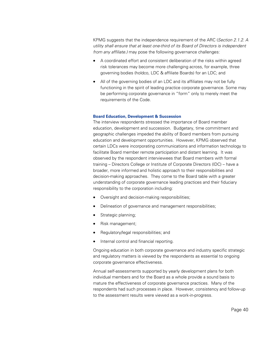KPMG suggests that the independence requirement of the ARC (*Section 2.1.2. A utility shall ensure that at least one-third of its Board of Directors is independent from any affiliate.)* may pose the following governance challenges:

- A coordinated effort and consistent deliberation of the risks within agreed risk tolerances may become more challenging across, for example, three governing bodies (holdco, LDC & affiliate Boards) for an LDC; and
- All of the governing bodies of an LDC and its affiliates may not be fully functioning in the spirit of leading practice corporate governance. Some may be performing corporate governance in "form" only to merely meet the requirements of the Code.

#### **Board Education, Development & Succession**

The interview respondents stressed the importance of Board member education, development and succession. Budgetary, time commitment and geographic challenges impeded the ability of Board members from pursuing education and development opportunities. However, KPMG observed that certain LDCs were incorporating communications and information technology to facilitate Board member remote participation and distant learning. It was observed by the respondent interviewees that Board members with formal training – Directors College or Institute of Corporate Directors (IDC) – have a broader, more informed and holistic approach to their responsibilities and decision-making approaches. They come to the Board table with a greater understanding of corporate governance leading practices and their fiduciary responsibility to the corporation including:

- Oversight and decision-making responsibilities;
- Delineation of governance and management responsibilities;
- Strategic planning;
- Risk management;
- Regulatory/legal responsibilities; and
- Internal control and financial reporting.

Ongoing education in both corporate governance and industry specific strategic and regulatory matters is viewed by the respondents as essential to ongoing corporate governance effectiveness.

Annual self-assessments supported by yearly development plans for both individual members and for the Board as a whole provide a sound basis to mature the effectiveness of corporate governance practices. Many of the respondents had such processes in place. However, consistency and follow-up to the assessment results were viewed as a work-in-progress.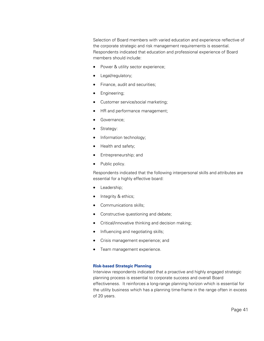Selection of Board members with varied education and experience reflective of the corporate strategic and risk management requirements is essential. Respondents indicated that education and professional experience of Board members should include:

- Power & utility sector experience;
- Legal/regulatory;
- Finance, audit and securities;
- Engineering;
- Customer service/social marketing;
- HR and performance management;
- Governance;
- Strategy:
- Information technology;
- Health and safety;
- Entrepreneurship; and
- Public policy.

Respondents indicated that the following interpersonal skills and attributes are essential for a highly effective board:

- Leadership;
- Integrity & ethics;
- Communications skills;
- Constructive questioning and debate;
- Critical/innovative thinking and decision making;
- Influencing and negotiating skills;
- Crisis management experience; and
- Team management experience.

#### **Risk-based Strategic Planning**

Interview respondents indicated that a proactive and highly engaged strategic planning process is essential to corporate success and overall Board effectiveness. It reinforces a long-range planning horizon which is essential for the utility business which has a planning time-frame in the range often in excess of 20 years.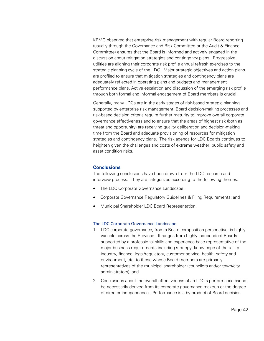KPMG observed that enterprise risk management with regular Board reporting (usually through the Governance and Risk Committee or the Audit & Finance Committee) ensures that the Board is informed and actively engaged in the discussion about mitigation strategies and contingency plans. Progressive utilities are aligning their corporate risk profile annual refresh exercises to the strategic planning cycle of the LDC. Major strategic objectives and action plans are profiled to ensure that mitigation strategies and contingency plans are adequately reflected in operating plans and budgets and management performance plans. Active escalation and discussion of the emerging risk profile through both formal and informal engagement of Board members is crucial.

Generally, many LDCs are in the early stages of risk-based strategic planning supported by enterprise risk management. Board decision-making processes and risk-based decision criteria require further maturity to improve overall corporate governance effectiveness and to ensure that the areas of highest risk (both as threat and opportunity) are receiving quality deliberation and decision-making time from the Board and adequate provisioning of resources for mitigation strategies and contingency plans. The risk agenda for LDC Boards continues to heighten given the challenges and costs of extreme weather, public safety and asset condition risks.

#### **Conclusions**

The following conclusions have been drawn from the LDC research and interview process. They are categorized according to the following themes:

- The LDC Corporate Governance Landscape;
- Corporate Governance Regulatory Guidelines & Filing Requirements; and
- Municipal Shareholder LDC Board Representation.

#### The LDC Corporate Governance Landscape

- 1. LDC corporate governance, from a Board composition perspective, is highly variable across the Province. It ranges from highly independent Boards supported by a professional skills and experience base representative of the major business requirements including strategy, knowledge of the utility industry, finance, legal/regulatory, customer service, health, safety and environment, etc. to those whose Board members are primarily representatives of the municipal shareholder (councilors and/or town/city administrators); and
- 2. Conclusions about the overall effectiveness of an LDC's performance cannot be necessarily derived from its corporate governance makeup or the degree of director independence. Performance is a by-product of Board decision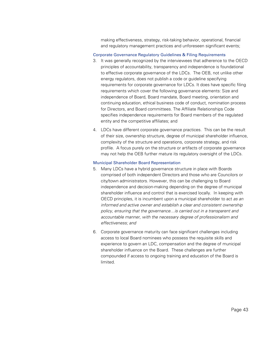making effectiveness, strategy, risk-taking behavior, operational, financial and regulatory management practices and unforeseen significant events;

#### Corporate Governance Regulatory Guidelines & Filing Requirements

- 3. It was generally recognized by the interviewees that adherence to the OECD principles of accountability, transparency and independence is foundational to effective corporate governance of the LDCs. The OEB, not unlike other energy regulators, does not publish a code or guideline specifying requirements for corporate governance for LDCs. It does have specific filing requirements which cover the following governance elements: Size and independence of Board, Board mandate, Board meeting, orientation and continuing education, ethical business code of conduct, nomination process for Directors, and Board committees. The Affiliate Relationships Code specifies independence requirements for Board members of the regulated entity and the competitive affiliates; and
- 4. LDCs have different corporate governance practices. This can be the result of their size, ownership structure, degree of municipal shareholder influence, complexity of the structure and operations, corporate strategy, and risk profile. A focus purely on the structure or artifacts of corporate governance may not help the OEB further mature its regulatory oversight of the LDCs.

#### Municipal Shareholder Board Representation

- 5. Many LDCs have a hybrid governance structure in place with Boards comprised of both independent Directors and those who are Councilors or city/town administrators. However, this can be challenging to Board independence and decision-making depending on the degree of municipal shareholder influence and control that is exercised locally. In keeping with OECD principles, it is incumbent upon a municipal shareholder to act *as an informed and active owner and establish a clear and consistent ownership policy, ensuring that the governance…is carried out in a transparent and accountable manner, with the necessary degree of professionalism and effectiveness; and*
- 6. Corporate governance maturity can face significant challenges including access to local Board nominees who possess the requisite skills and experience to govern an LDC, compensation and the degree of municipal shareholder influence on the Board. These challenges are further compounded if access to ongoing training and education of the Board is limited.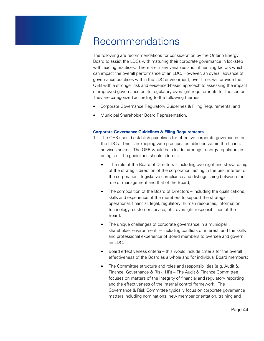# Recommendations

The following are recommendations for consideration by the Ontario Energy Board to assist the LDCs with maturing their corporate governance in lockstep with leading practices. There are many variables and influencing factors which can impact the overall performance of an LDC. However, an overall advance of governance practices within the LDC environment, over time, will provide the OEB with a stronger risk and evidenced-based approach to assessing the impact of improved governance on its regulatory oversight requirements for the sector. They are categorized according to the following themes:

- Corporate Governance Regulatory Guidelines & Filing Requirements; and
- Municipal Shareholder Board Representation.

#### **Corporate Governance Guidelines & Filing Requirements**

- 1. The OEB should establish guidelines for effective corporate governance for the LDCs. This is in keeping with practices established within the financial services sector. The OEB would be a leader amongst energy regulators in doing so. The guidelines should address:
	- The role of the Board of Directors including oversight and stewardship of the strategic direction of the corporation, acting in the best interest of the corporation, legislative compliance and distinguishing between the role of management and that of the Board;
	- The composition of the Board of Directors including the qualifications, skills and experience of the members to support the strategic, operational, financial, legal, regulatory, human resources, information technology, customer service, etc. oversight responsibilities of the Board;
	- The unique challenges of corporate governance in a municipal shareholder environment  $-$  including conflicts of interest, and the skills and professional experience of Board members to oversee and govern an LDC;
	- Board effectiveness criteria this would include criteria for the overall effectiveness of the Board as a whole and for individual Board members;
	- The Committee structure and roles and responsibilities (e.g. Audit & Finance, Governance & Risk, HR) – The Audit & Finance Committee focuses on matters of the integrity of financial and regulatory reporting and the effectiveness of the internal control framework. The Governance & Risk Committee typically focus on corporate governance matters including nominations, new member orientation, training and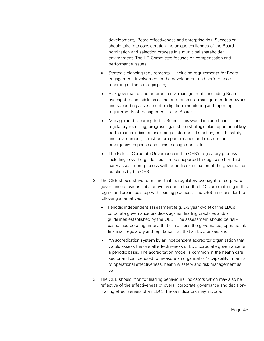development, Board effectiveness and enterprise risk. Succession should take into consideration the unique challenges of the Board nomination and selection process in a municipal shareholder environment. The HR Committee focuses on compensation and performance issues;

- Strategic planning requirements including requirements for Board engagement, involvement in the development and performance reporting of the strategic plan;
- Risk governance and enterprise risk management including Board oversight responsibilities of the enterprise risk management framework and supporting assessment, mitigation, monitoring and reporting requirements of management to the Board;
- Management reporting to the Board this would include financial and regulatory reporting, progress against the strategic plan, operational key performance indicators including customer satisfaction, health, safety and environment, infrastructure performance and replacement, emergency response and crisis management, etc.;
- The Role of Corporate Governance in the OEB's regulatory process including how the guidelines can be supported through a self or third party assessment process with periodic examination of the governance practices by the OEB.
- 2. The OEB should strive to ensure that its regulatory oversight for corporate governance provides substantive evidence that the LDCs are maturing in this regard and are in lockstep with leading practices. The OEB can consider the following alternatives:
	- Periodic independent assessment (e.g. 2-3 year cycle) of the LDCs corporate governance practices against leading practices and/or guidelines established by the OEB. The assessment should be riskbased incorporating criteria that can assess the governance, operational, financial, regulatory and reputation risk that an LDC poses; and
	- An accreditation system by an independent accreditor organization that would assess the overall effectiveness of LDC corporate governance on a periodic basis. The accreditation model is common in the health care sector and can be used to measure an organization's capability in terms of operational effectiveness, health & safety and risk management as well.
- 3. The OEB should monitor leading behavioural indicators which may also be reflective of the effectiveness of overall corporate governance and decisionmaking effectiveness of an LDC. These indicators may include: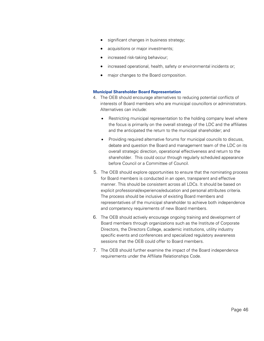- significant changes in business strategy;
- acquisitions or major investments;
- increased risk-taking behaviour;
- increased operational, health, safety or environmental incidents or;
- major changes to the Board composition.

#### **Municipal Shareholder Board Representation**

- 4. The OEB should encourage alternatives to reducing potential conflicts of interests of Board members who are municipal councillors or administrators. Alternatives can include:
	- Restricting municipal representation to the holding company level where the focus is primarily on the overall strategy of the LDC and the affiliates and the anticipated the return to the municipal shareholder; and
	- Providing required alternative forums for municipal councils to discuss, debate and question the Board and management team of the LDC on its overall strategic direction, operational effectiveness and return to the shareholder. This could occur through regularly scheduled appearance before Council or a Committee of Council.
- 5. The OEB should explore opportunities to ensure that the nominating process for Board members is conducted in an open, transparent and effective manner. This should be consistent across all LDCs. It should be based on explicit professional/experience/education and personal attributes criteria. The process should be inclusive of existing Board members and representatives of the municipal shareholder to achieve both independence and competency requirements of new Board members.
- 6. The OEB should actively encourage ongoing training and development of Board members through organizations such as the Institute of Corporate Directors, the Directors College, academic institutions, utility industry specific events and conferences and specialized regulatory awareness sessions that the OEB could offer to Board members.
- 7. The OEB should further examine the impact of the Board independence requirements under the Affiliate Relationships Code.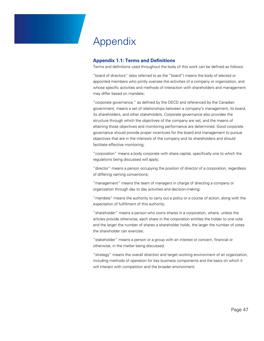# Appendix

#### **Appendix 1.1: Terms and Definitions**

Terms and definitions used throughout the body of this work can be defined as follows:

"board of directors" (also referred to as the "board") means the body of elected or appointed members who jointly oversee the activities of a company or organization, and whose specific activities and methods of interaction with shareholders and management may differ based on mandate;

"corporate governance," as defined by the OECD and referenced by the Canadian government, means a set of relationships between a company's management, its board, its shareholders, and other stakeholders. Corporate governance also provides the structure through which the objectives of the company are set, and the means of attaining those objectives and monitoring performance are determined. Good corporate governance should provide proper incentives for the board and management to pursue objectives that are in the interests of the company and its shareholders and should facilitate effective monitoring;

"corporation" means a body corporate with share capital, specifically one to which the regulations being discussed will apply;

"director" means a person occupying the position of director of a corporation, regardless of differing naming conventions;

"management" means the team of managers in charge of directing a company or organization through day to day activities and decision-making;

"mandate" means the authority to carry out a policy or a course of action, along with the expectation of fulfillment of this authority;

"shareholder" means a person who owns shares in a corporation, where, unless the articles provide otherwise, each share in the corporation entitles the holder to one vote and the larger the number of shares a shareholder holds, the larger the number of votes the shareholder can exercise;

"stakeholder" means a person or a group with an interest or concern, financial or otherwise, in the matter being discussed;

"strategy" means the overall direction and target working environment of an organization, including methods of operation for key business components and the basis on which it will interact with competition and the broader environment;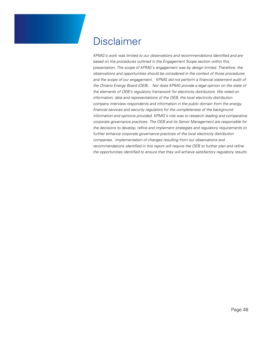# Disclaimer

*KPMG's work was limited to our observations and recommendations identified and are based on the procedures outlined in the Engagement Scope section within this presentation. The scope of KPMG's engagement was by design limited. Therefore, the observations and opportunities should be considered in the context of those procedures and the scope of our engagement. KPMG did not perform a financial statement audit of the Ontario Energy Board (OEB). Nor does KPMG provide a legal opinion on the state of the elements of OEB's regulatory framework for electricity distributors. We relied on information, data and representations of the OEB, the local electricity distribution company interview respondents and information in the public domain from the energy, financial services and security regulators for the completeness of the background information and opinions provided. KPMG's role was to research leading and comparative corporate governance practices. The OEB and its Senior Management are responsible for the decisions to develop, refine and implement strategies and regulatory requirements to further enhance corporate governance practices of the local electricity distribution companies. Implementation of changes resulting from our observations and recommendations identified in this report will require the OEB to further plan and refine the opportunities identified to ensure that they will achieve satisfactory regulatory results.*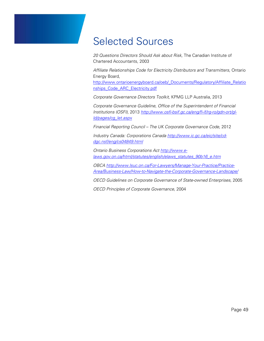### Selected Sources

*20 Questions Directors Should Ask about Risk,* The Canadian Institute of Chartered Accountants, 2003

*Affiliate Relationships Code for Electricity Distributors and Transmitters*, Ontario Energy Board,

http://www.ontarioenergyboard.ca/oeb/\_Documents/Regulatory/Affiliate\_Relatio nships\_Code\_ARC\_Electricity.pdf

*Corporate Governance Directors Toolkit,* KPMG LLP Australia, 2013

*Corporate Governance Guideline, Office of the Superintendent of Financial Institutions (OSFI),* 2013 *http://www.osfi-bsif.gc.ca/eng/fi-if/rg-ro/gdn-ort/glld/pages/cg\_let.aspx*

*Financial Reporting Council – The UK Corporate Governance Code,* 2012

*Industry Canada: Corporations Canada http://www.ic.gc.ca/eic/site/cddgc.nsf/eng/cs04849.html*

*Ontario Business Corporations Act http://www.elaws.gov.on.ca/html/statutes/english/elaws\_statutes\_90b16\_e.htm*

*OBCA http://www.lsuc.on.ca/For-Lawyers/Manage-Your-Practice/Practice-Area/Business-Law/How-to-Navigate-the-Corporate-Governance-Landscape/*

*OECD Guidelines on Corporate Governance of State-owned Enterprises*, 2005

*OECD Principles of Corporate Governance,* 2004